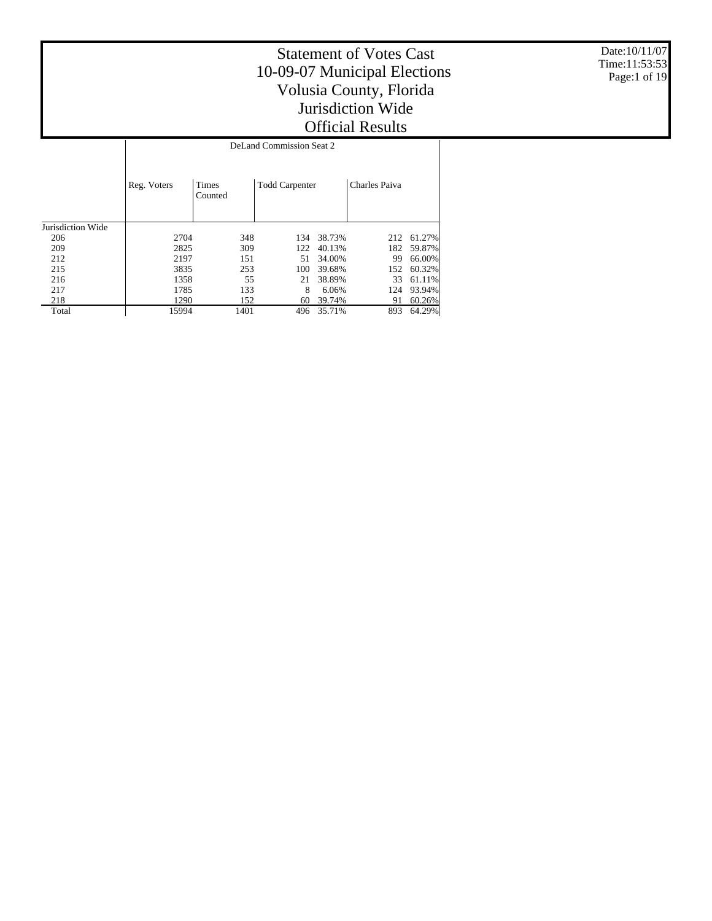Date:10/11/07 Time:11:53:53 Page:1 of 19

## Statement of Votes Cast 10-09-07 Municipal Elections Volusia County, Florida Jurisdiction Wide Official Results

Reg. Voters | Times Counted Todd Carpenter | Charles Paiva DeLand Commission Seat 2

| Jurisdiction Wide |       |      |     |            |     |            |
|-------------------|-------|------|-----|------------|-----|------------|
| 206               | 2704  | 348  |     | 134 38.73% |     | 212 61.27% |
| 209               | 2825  | 309  | 122 | 40.13%     |     | 182 59.87% |
| 212               | 2197  | 151  |     | 51 34.00%  | 99  | 66.00%     |
| 215               | 3835  | 253  |     | 100 39.68% |     | 152 60.32% |
| 216               | 1358  | 55   | 21  | 38.89%     |     | 33 61.11%  |
| 217               | 1785  | 133  | 8   | 6.06%      |     | 124 93.94% |
| 218               | 1290  | 152  | 60  | 39.74%     | 91  | 60.26%     |
| Total             | 15994 | 1401 |     | 35.71%     | 893 | 64.29%     |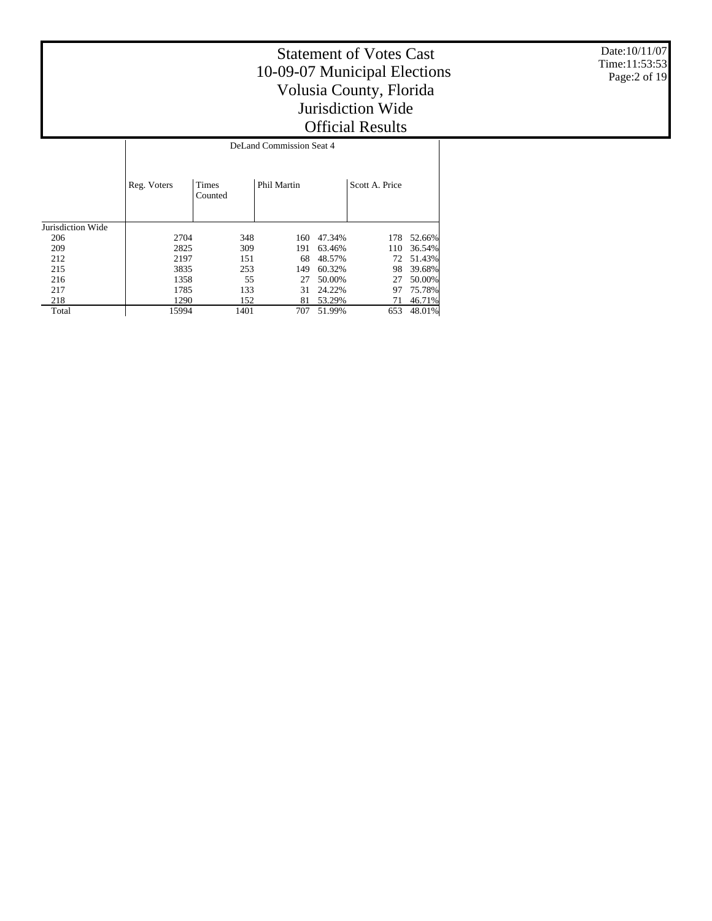Date:10/11/07 Time:11:53:53 Page:2 of 19

#### Statement of Votes Cast 10-09-07 Municipal Elections Volusia County, Florida Jurisdiction Wide Official Results Τ

|                   |             |                         | DeLand Commission Seat 4 |        |                |        |
|-------------------|-------------|-------------------------|--------------------------|--------|----------------|--------|
|                   | Reg. Voters | <b>Times</b><br>Counted | Phil Martin              |        | Scott A. Price |        |
| Jurisdiction Wide |             |                         |                          |        |                |        |
| 206               | 2704        | 348                     | 160                      | 47.34% | 178            | 52.66% |
| 209               | 2825        | 309                     | 191                      | 63.46% | 110            | 36.54% |
| 212               | 2197        | 151                     | 68                       | 48.57% | 72             | 51.43% |
| 215               | 3835        | 253                     | 149                      | 60.32% | 98             | 39.68% |
| 216               | 1358        | 55                      | 27                       | 50.00% | 27             | 50.00% |
| 217               | 1785        | 133                     | 31                       | 24.22% | 97             | 75.78% |
| 218               | 1290        | 152                     | 81                       | 53.29% | 71             | 46.71% |
| Total             | 15994       | 1401                    | 707                      | 51.99% | 653            | 48.01% |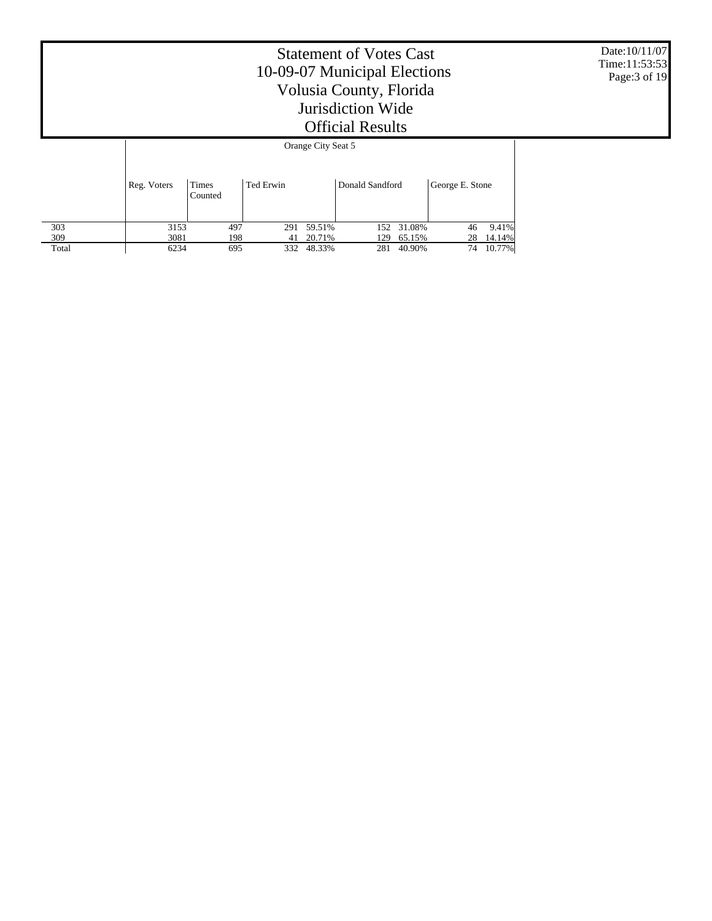Date:10/11/07 Time:11:53:53 Page:3 of 19

|       |             | Orange City Seat 5 |           |        |                 |            |                 |        |  |  |  |
|-------|-------------|--------------------|-----------|--------|-----------------|------------|-----------------|--------|--|--|--|
|       | Reg. Voters | Times<br>Counted   | Ted Erwin |        | Donald Sandford |            | George E. Stone |        |  |  |  |
| 303   | 3153        | 497                | 291       | 59.51% |                 | 152 31.08% | 46              | 9.41%  |  |  |  |
| 309   | 3081        | 198                | 41        | 20.71% | 129             | 65.15%     | 28              | 14.14% |  |  |  |
| Total | 6234        | 695                | 332       | 48.33% | 281             | 40.90%     | 74              | 10.77% |  |  |  |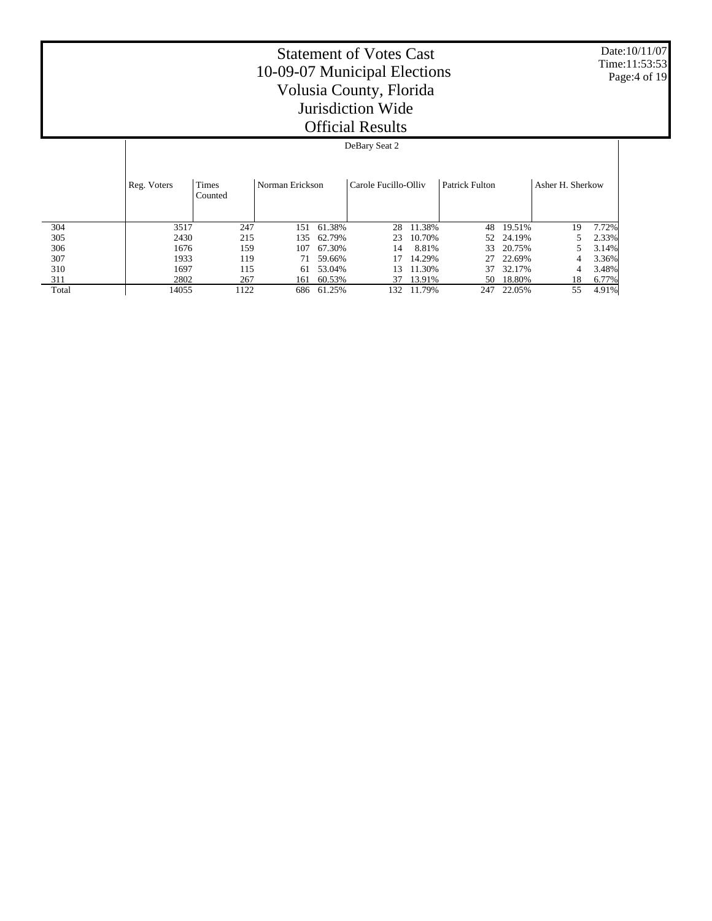Date:10/11/07 Time:11:53:53 Page:4 of 19

#### Statement of Votes Cast 10-09-07 Municipal Elections Volusia County, Florida Jurisdiction Wide Official Results

#### DeBary Seat 2

|       | Reg. Voters | Times<br>Counted | Norman Erickson |        | Carole Fucillo-Olliv |        | <b>Patrick Fulton</b> |           | Asher H. Sherkow |       |
|-------|-------------|------------------|-----------------|--------|----------------------|--------|-----------------------|-----------|------------------|-------|
| 304   | 3517        | 247              | 151             | 61.38% | 28                   | 11.38% |                       | 48 19.51% | 19               | 7.72% |
| 305   | 2430        | 215              | 135             | 62.79% | 23                   | 10.70% |                       | 52 24.19% |                  | 2.33% |
| 306   | 1676        | 159              | 107             | 67.30% | 14                   | 8.81%  | 33                    | 20.75%    |                  | 3.14% |
| 307   | 1933        | 119              | 71              | 59.66% |                      | 14.29% | 27                    | 22.69%    | 4                | 3.36% |
| 310   | 1697        | 115              | 61              | 53.04% | 13                   | 11.30% | 37                    | 32.17%    | 4                | 3.48% |
| 311   | 2802        | 267              | 161             | 60.53% | 37                   | 13.91% | 50                    | 18.80%    | 18               | 6.77% |
| Total | 14055       | 122              | 686             | 61.25% | 132                  | 11.79% | 247                   | 22.05%    | 55               | 4.91% |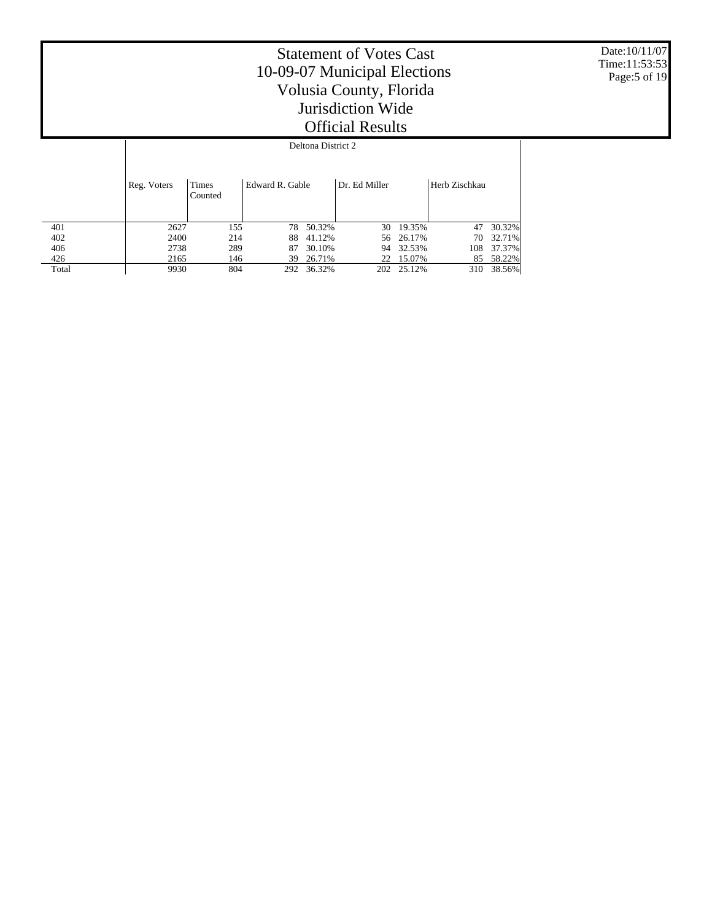Date:10/11/07 Time:11:53:53 Page:5 of 19

|       |             | Deltona District 2 |                 |        |               |            |               |        |  |  |
|-------|-------------|--------------------|-----------------|--------|---------------|------------|---------------|--------|--|--|
|       | Reg. Voters | Times<br>Counted   | Edward R. Gable |        | Dr. Ed Miller |            | Herb Zischkau |        |  |  |
| 401   | 2627        | 155                | 78              | 50.32% | 30            | 19.35%     | 47            | 30.32% |  |  |
| 402   | 2400        | 214                | 88              | 41.12% |               | 56 26.17%  | 70            | 32.71% |  |  |
| 406   | 2738        | 289                | 87              | 30.10% | 94            | 32.53%     | 108           | 37.37% |  |  |
| 426   | 2165        | 146                | 39              | 26.71% | 22            | 15.07%     | 85            | 58.22% |  |  |
| Total | 9930        | 804                | 292             | 36.32% |               | 202 25.12% | 310           | 38.56% |  |  |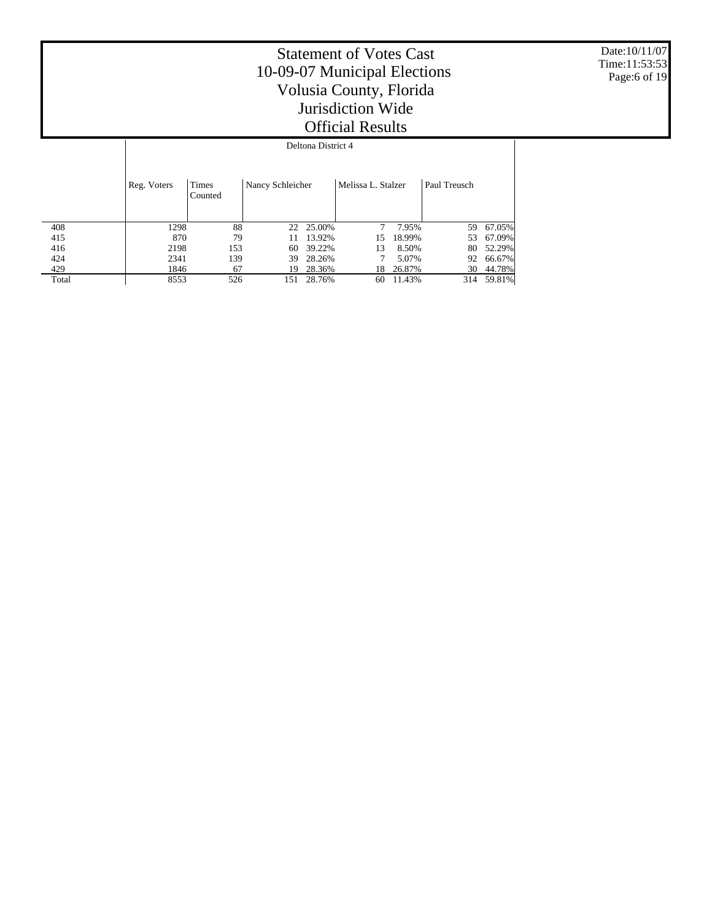Date:10/11/07 Time:11:53:53 Page:6 of 19

|       |             |                  |                  | Deltona District 4 |                    |        |              |        |
|-------|-------------|------------------|------------------|--------------------|--------------------|--------|--------------|--------|
|       | Reg. Voters | Times<br>Counted | Nancy Schleicher |                    | Melissa L. Stalzer |        | Paul Treusch |        |
| 408   | 1298        | 88               |                  | 22 25.00%          | 7                  | 7.95%  | 59.          | 67.05% |
| 415   | 870         | 79               | 11               | 13.92%             | 15                 | 18.99% | 53           | 67.09% |
| 416   | 2198        | 153              | 60               | 39.22%             | 13                 | 8.50%  | 80           | 52.29% |
| 424   | 2341        | 139              | 39               | 28.26%             |                    | 5.07%  | 92           | 66.67% |
| 429   | 1846        | 67               | 19               | 28.36%             | 18                 | 26.87% | 30           | 44.78% |
| Total | 8553        | 526              | 151              | 28.76%             | 60                 | 11.43% | 314          | 59.81% |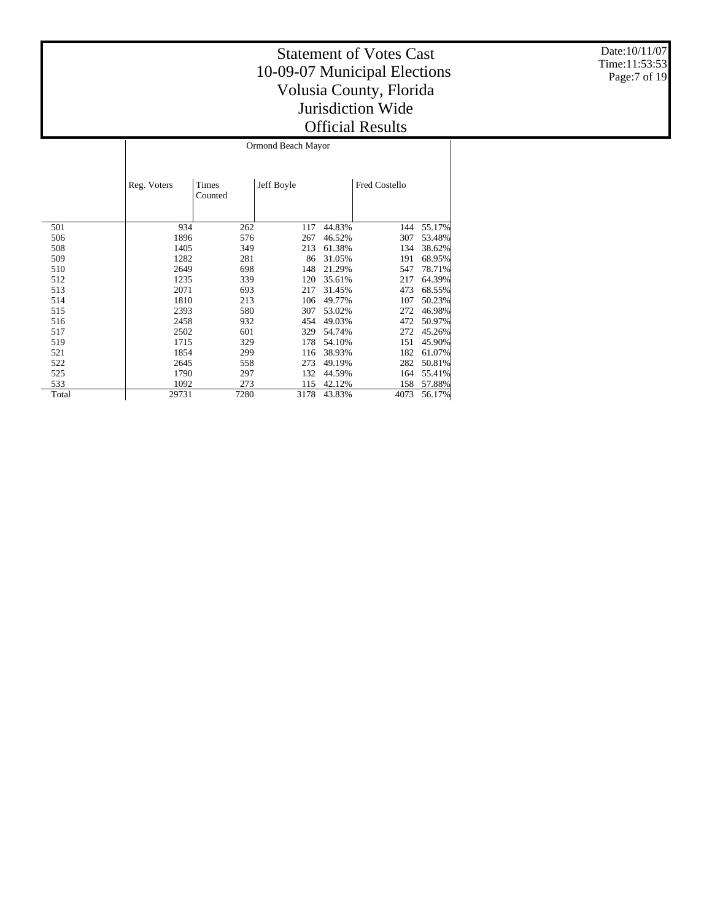Date:10/11/07 Time:11:53:53 Page:7 of 19

#### Statement of Votes Cast 10-09-07 Municipal Elections Volusia County, Florida Jurisdiction Wide Official Results

 $\overline{\phantom{a}}$ 

|       | Reg. Voters | Times<br>Counted | Jeff Boyle |        | <b>Fred Costello</b> |        |
|-------|-------------|------------------|------------|--------|----------------------|--------|
| 501   | 934         | 262              | 117        | 44.83% | 144                  | 55.17% |
| 506   | 1896        | 576              | 267        | 46.52% | 307                  | 53.48% |
| 508   | 1405        | 349              | 213        | 61.38% | 134                  | 38.62% |
| 509   | 1282        | 281              | 86         | 31.05% | 191                  | 68.95% |
| 510   | 2649        | 698              | 148        | 21.29% | 547                  | 78.71% |
| 512   | 1235        | 339              | 120        | 35.61% | 217                  | 64.39% |
| 513   | 2071        | 693              | 217        | 31.45% | 473                  | 68.55% |
| 514   | 1810        | 213              | 106        | 49.77% | 107                  | 50.23% |
| 515   | 2393        | 580              | 307        | 53.02% | 272                  | 46.98% |
| 516   | 2458        | 932              | 454        | 49.03% | 472                  | 50.97% |
| 517   | 2502        | 601              | 329        | 54.74% | 272                  | 45.26% |
| 519   | 1715        | 329              | 178        | 54.10% | 151                  | 45.90% |
| 521   | 1854        | 299              | 116        | 38.93% | 182                  | 61.07% |
| 522   | 2645        | 558              | 273        | 49.19% | 282                  | 50.81% |
| 525   | 1790        | 297              | 132        | 44.59% | 164                  | 55.41% |
| 533   | 1092        | 273              | 115        | 42.12% | 158                  | 57.88% |
| Total | 29731       | 7280             | 3178       | 43.83% | 4073                 | 56.17% |

Ormond Beach Mayor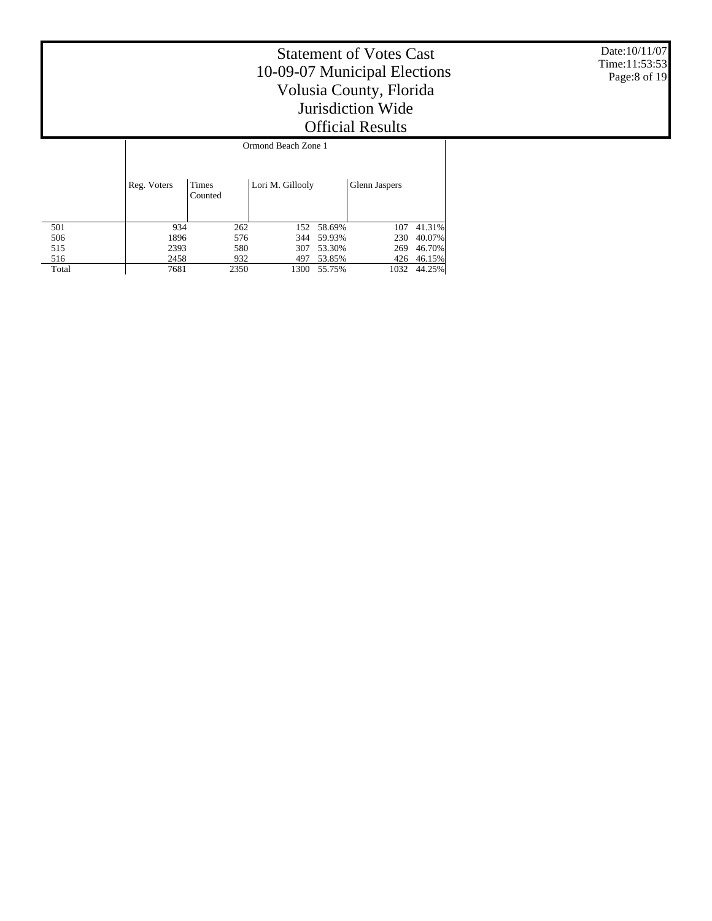Date:10/11/07 Time:11:53:53 Page:8 of 19

|       |             | Ormond Beach Zone 1     |                  |        |               |        |  |  |  |
|-------|-------------|-------------------------|------------------|--------|---------------|--------|--|--|--|
|       | Reg. Voters | <b>Times</b><br>Counted | Lori M. Gillooly |        | Glenn Jaspers |        |  |  |  |
| 501   | 934         | 262                     | 152              | 58.69% | 107           | 41.31% |  |  |  |
| 506   | 1896        | 576                     | 344              | 59.93% | 230           | 40.07% |  |  |  |
| 515   | 2393        | 580                     | 307              | 53.30% | 269           | 46.70% |  |  |  |
| 516   | 2458        | 932                     | 497              | 53.85% | 426           | 46.15% |  |  |  |
| Total | 7681        | 2350                    | 1300             | 55.75% | 1032          | 44.25% |  |  |  |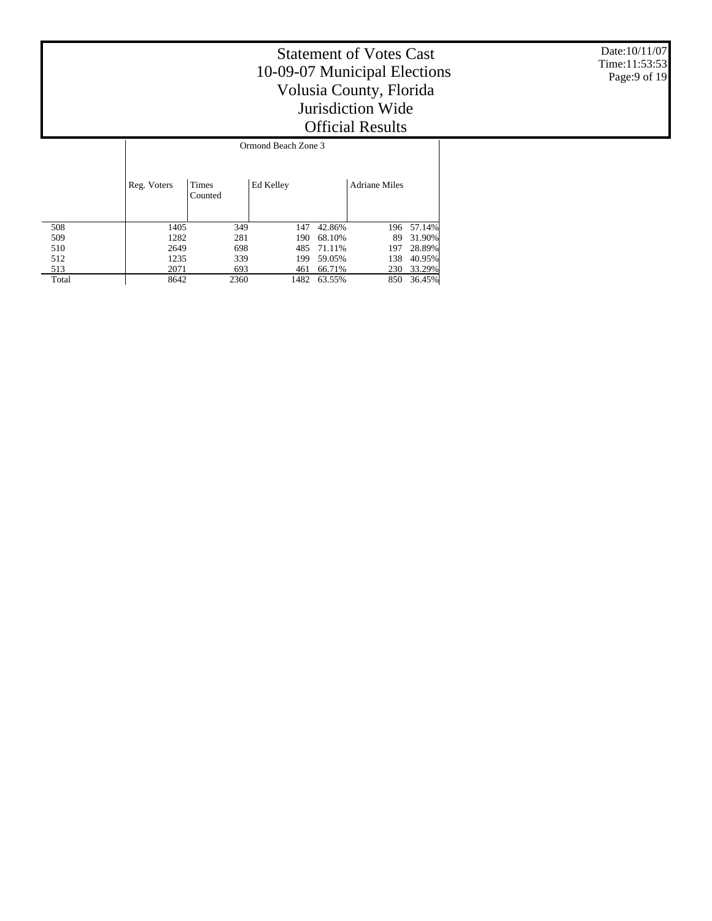Date:10/11/07 Time:11:53:53 Page:9 of 19

|       |             |                  | Ormond Beach Zone 3 |        |                      |        |
|-------|-------------|------------------|---------------------|--------|----------------------|--------|
|       | Reg. Voters | Times<br>Counted | Ed Kelley           |        | <b>Adriane Miles</b> |        |
| 508   | 1405        | 349              | 147                 | 42.86% | 196                  | 57.14% |
| 509   | 1282        | 281              | 190                 | 68.10% | 89                   | 31.90% |
| 510   | 2649        | 698              | 485                 | 71.11% | 197                  | 28.89% |
| 512   | 1235        | 339              | 199                 | 59.05% | 138                  | 40.95% |
| 513   | 2071        | 693              | 461                 | 66.71% | 230                  | 33.29% |
| Total | 8642        | 2360             | 1482                | 63.55% | 850                  | 36.45% |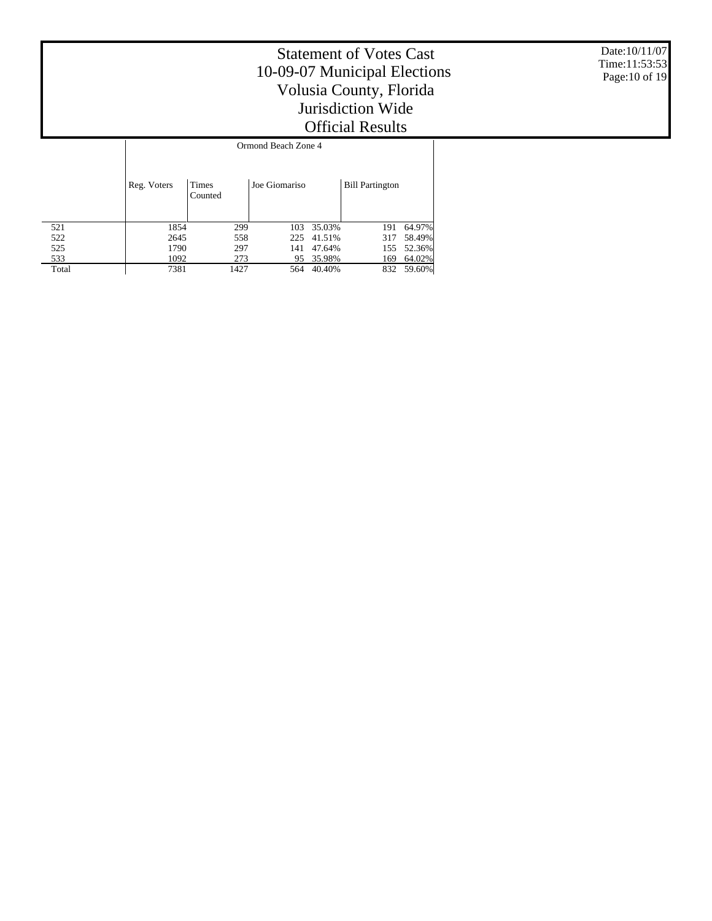Date:10/11/07 Time:11:53:53 Page:10 of 19

|       |             |                  | Ormond Beach Zone 4 |        |                        |        |
|-------|-------------|------------------|---------------------|--------|------------------------|--------|
|       | Reg. Voters | Times<br>Counted | Joe Giomariso       |        | <b>Bill Partington</b> |        |
| 521   | 1854        | 299              | 103                 | 35.03% | 191                    | 64.97% |
| 522   | 2645        | 558              | 225                 | 41.51% | 317                    | 58.49% |
| 525   | 1790        | 297              | 141                 | 47.64% | 155                    | 52.36% |
| 533   | 1092        | 273              | 95                  | 35.98% | 169                    | 64.02% |
| Total | 7381        | 1427             | 564                 | 40.40% | 832                    | 59.60% |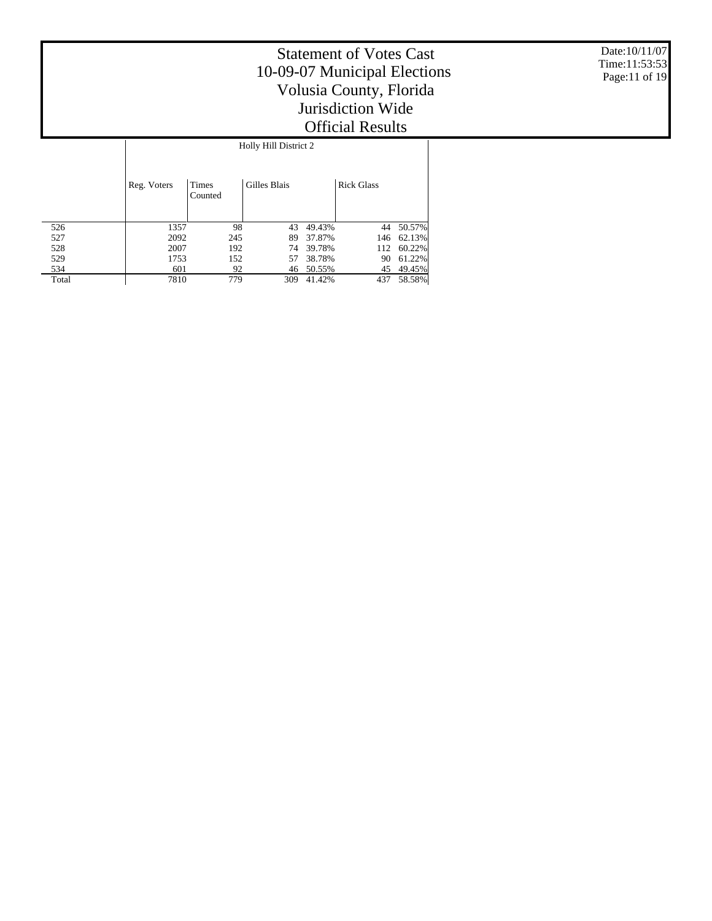Date:10/11/07 Time:11:53:53 Page:11 of 19

|       |             |                         | Holly Hill District 2 |        |                   |        |
|-------|-------------|-------------------------|-----------------------|--------|-------------------|--------|
|       | Reg. Voters | <b>Times</b><br>Counted | Gilles Blais          |        | <b>Rick Glass</b> |        |
| 526   | 1357        | 98                      | 43                    | 49.43% | 44                | 50.57% |
| 527   | 2092        | 245                     | 89                    | 37.87% | 146               | 62.13% |
| 528   | 2007        | 192                     | 74                    | 39.78% | 112               | 60.22% |
| 529   | 1753        | 152                     | 57                    | 38.78% | 90                | 61.22% |
| 534   | 601         | 92                      | 46                    | 50.55% | 45                | 49.45% |
| Total | 7810        | 779                     | 309                   | 41.42% | 437               | 58.58% |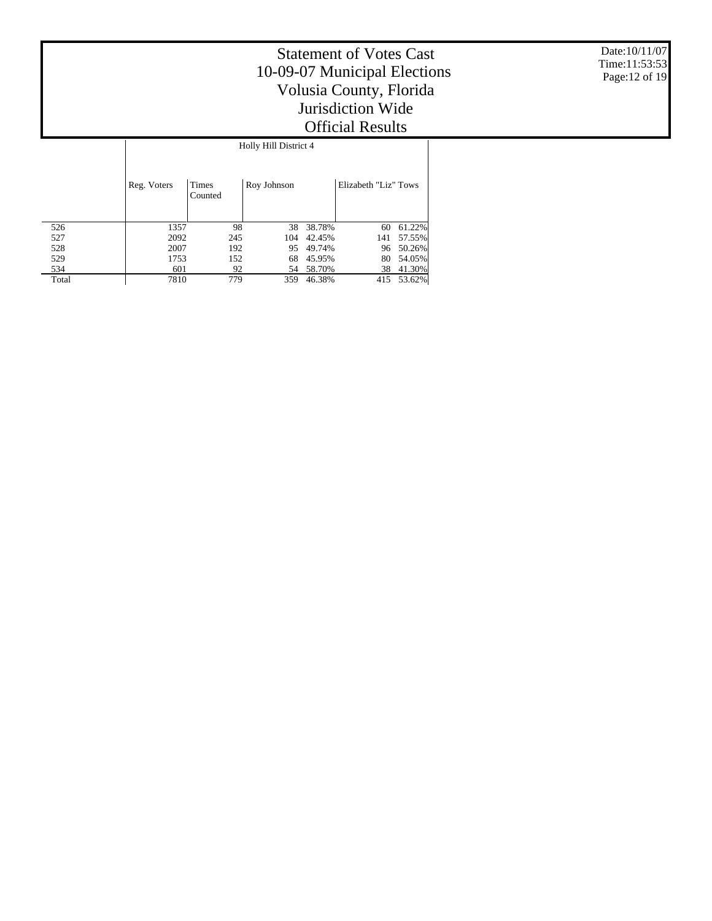Date:10/11/07 Time:11:53:53 Page:12 of 19

|       |             | Holly Hill District 4   |             |        |                      |        |  |  |  |  |
|-------|-------------|-------------------------|-------------|--------|----------------------|--------|--|--|--|--|
|       | Reg. Voters | <b>Times</b><br>Counted | Roy Johnson |        | Elizabeth "Liz" Tows |        |  |  |  |  |
| 526   | 1357        | 98                      | 38          | 38.78% | 60                   | 61.22% |  |  |  |  |
| 527   | 2092        | 245                     | 104         | 42.45% | 141                  | 57.55% |  |  |  |  |
| 528   | 2007        | 192                     | 95          | 49.74% | 96                   | 50.26% |  |  |  |  |
| 529   | 1753        | 152                     | 68          | 45.95% | 80                   | 54.05% |  |  |  |  |
| 534   | 601         | 92                      | 54          | 58.70% | 38                   | 41.30% |  |  |  |  |
| Total | 7810        | 779                     | 359         | 46.38% | 415                  | 53.62% |  |  |  |  |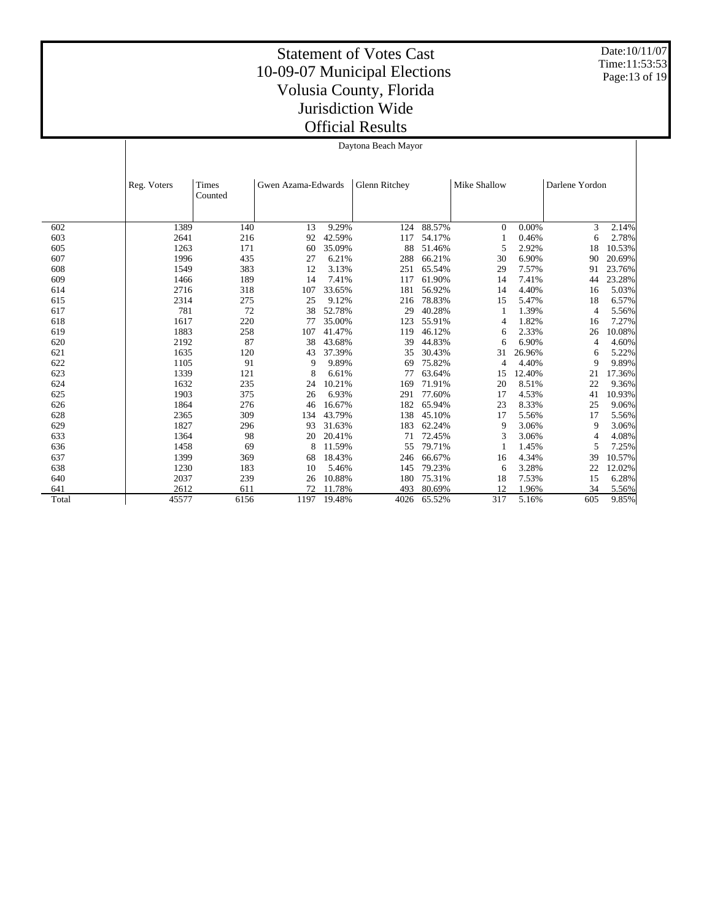Date:10/11/07 Time:11:53:53 Page:13 of 19

#### Statement of Votes Cast 10-09-07 Municipal Elections Volusia County, Florida Jurisdiction Wide Official Results

Daytona Beach Mayor

|       | Reg. Voters | Times<br>Counted | Gwen Azama-Edwards |        | Glenn Ritchey |        | Mike Shallow |        | Darlene Yordon |        |
|-------|-------------|------------------|--------------------|--------|---------------|--------|--------------|--------|----------------|--------|
|       |             |                  |                    |        |               |        |              |        |                |        |
| 602   | 1389        | 140              | 13                 | 9.29%  | 124           | 88.57% | $\Omega$     | 0.00%  | 3              | 2.14%  |
| 603   | 2641        | 216              | 92                 | 42.59% | 117           | 54.17% |              | 0.46%  | 6              | 2.78%  |
| 605   | 1263        | 171              | 60                 | 35.09% | 88            | 51.46% | 5            | 2.92%  | 18             | 10.53% |
| 607   | 1996        | 435              | 27                 | 6.21%  | 288           | 66.21% | 30           | 6.90%  | 90             | 20.69% |
| 608   | 1549        | 383              | 12                 | 3.13%  | 251           | 65.54% | 29           | 7.57%  | 91             | 23.76% |
| 609   | 1466        | 189              | 14                 | 7.41%  | 117           | 61.90% | 14           | 7.41%  | 44             | 23.28% |
| 614   | 2716        | 318              | 107                | 33.65% | 181           | 56.92% | 14           | 4.40%  | 16             | 5.03%  |
| 615   | 2314        | 275              | 25                 | 9.12%  | 216           | 78.83% | 15           | 5.47%  | 18             | 6.57%  |
| 617   | 781         | 72               | 38                 | 52.78% | 29            | 40.28% |              | 1.39%  | $\overline{4}$ | 5.56%  |
| 618   | 1617        | 220              | 77                 | 35.00% | 123           | 55.91% | 4            | 1.82%  | 16             | 7.27%  |
| 619   | 1883        | 258              | 107                | 41.47% | 119           | 46.12% | 6            | 2.33%  | 26             | 10.08% |
| 620   | 2192        | 87               | 38                 | 43.68% | 39            | 44.83% | 6            | 6.90%  | $\overline{4}$ | 4.60%  |
| 621   | 1635        | 120              | 43                 | 37.39% | 35            | 30.43% | 31           | 26.96% | 6              | 5.22%  |
| 622   | 1105        | 91               | 9                  | 9.89%  | 69            | 75.82% | 4            | 4.40%  | 9              | 9.89%  |
| 623   | 1339        | 121              | 8                  | 6.61%  | 77            | 63.64% | 15           | 12.40% | 21             | 17.36% |
| 624   | 1632        | 235              | 24                 | 10.21% | 169           | 71.91% | 20           | 8.51%  | 22             | 9.36%  |
| 625   | 1903        | 375              | 26                 | 6.93%  | 291           | 77.60% | 17           | 4.53%  | 41             | 10.93% |
| 626   | 1864        | 276              | 46                 | 16.67% | 182           | 65.94% | 23           | 8.33%  | 25             | 9.06%  |
| 628   | 2365        | 309              | 134                | 43.79% | 138           | 45.10% | 17           | 5.56%  | 17             | 5.56%  |
| 629   | 1827        | 296              | 93                 | 31.63% | 183           | 62.24% | 9            | 3.06%  | 9              | 3.06%  |
| 633   | 1364        | 98               | 20                 | 20.41% | 71            | 72.45% | 3            | 3.06%  | 4              | 4.08%  |
| 636   | 1458        | 69               | 8                  | 11.59% | 55            | 79.71% |              | 1.45%  | 5              | 7.25%  |
| 637   | 1399        | 369              | 68                 | 18.43% | 246           | 66.67% | 16           | 4.34%  | 39             | 10.57% |
| 638   | 1230        | 183              | 10                 | 5.46%  | 145           | 79.23% | 6            | 3.28%  | 22             | 12.02% |
| 640   | 2037        | 239              | 26                 | 10.88% | 180           | 75.31% | 18           | 7.53%  | 15             | 6.28%  |
| 641   | 2612        | 611              | 72                 | 11.78% | 493           | 80.69% | 12           | 1.96%  | 34             | 5.56%  |
| Total | 45577       | 6156             | 1197               | 19.48% | 4026          | 65.52% | 317          | 5.16%  | 605            | 9.85%  |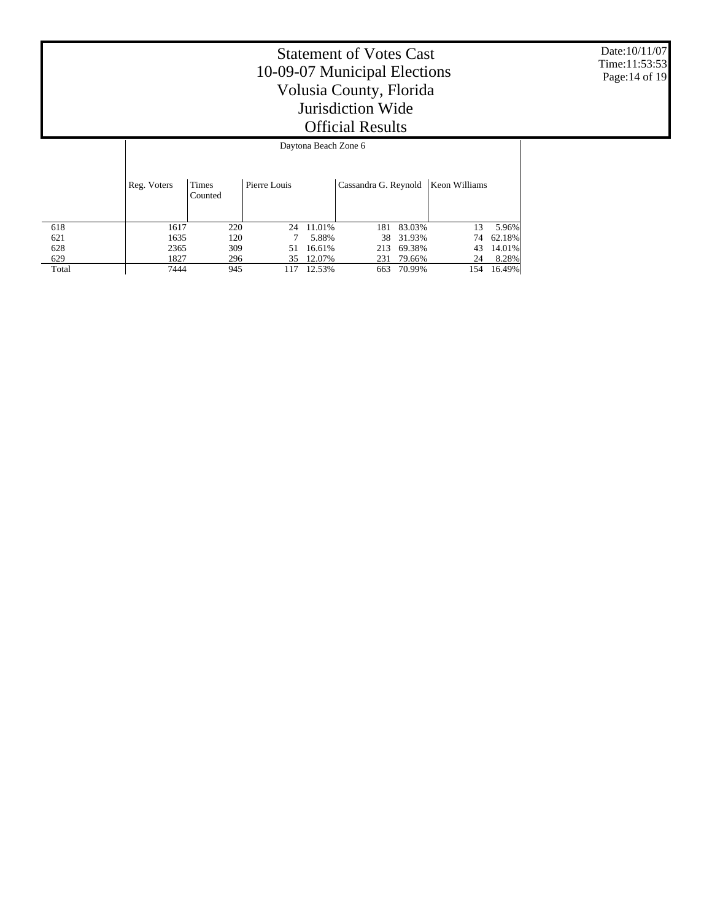Date:10/11/07 Time:11:53:53 Page:14 of 19

|       | Daytona Deach Zone o |                         |              |        |                      |           |               |        |  |  |
|-------|----------------------|-------------------------|--------------|--------|----------------------|-----------|---------------|--------|--|--|
|       | Reg. Voters          | <b>Times</b><br>Counted | Pierre Louis |        | Cassandra G. Reynold |           | Keon Williams |        |  |  |
| 618   | 1617                 | 220                     | 24           | 11.01% | 181                  | 83.03%    | 13            | 5.96%  |  |  |
| 621   | 1635                 | 120                     |              | 5.88%  |                      | 38 31.93% | 74            | 62.18% |  |  |
| 628   | 2365                 | 309                     | 51           | 16.61% | 213                  | 69.38%    | 43            | 14.01% |  |  |
| 629   | 1827                 | 296                     | 35           | 12.07% | 231                  | 79.66%    | 24            | 8.28%  |  |  |
| Total | 7444                 | 945                     | 117          | 12.53% | 663                  | 70.99%    | 154           | 16.49% |  |  |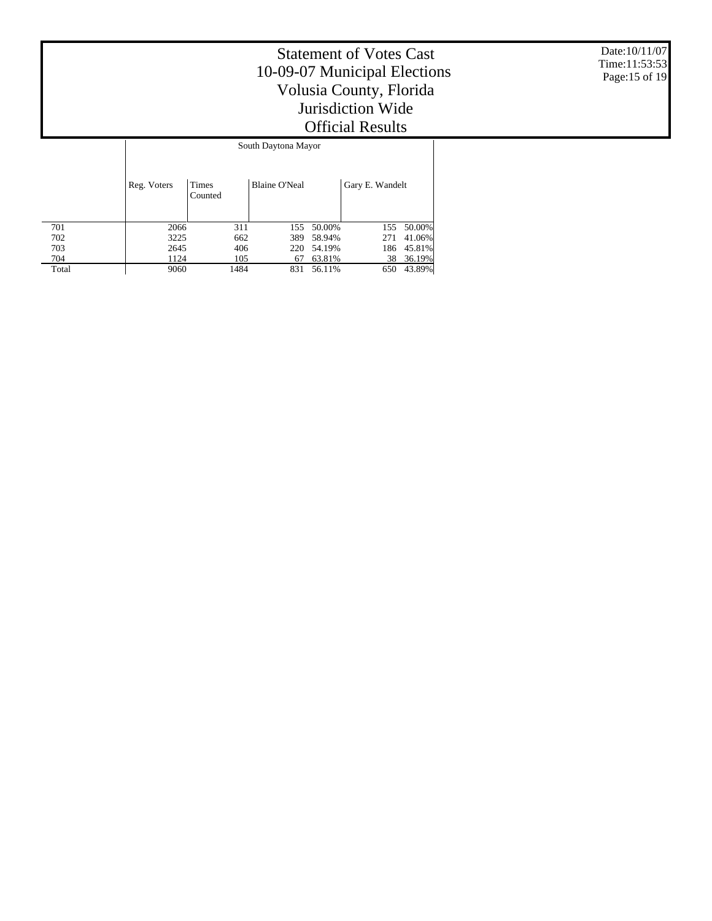Date:10/11/07 Time:11:53:53 Page:15 of 19

|       | South Daytona Mayor |                  |                      |        |                 |        |  |  |  |  |
|-------|---------------------|------------------|----------------------|--------|-----------------|--------|--|--|--|--|
|       | Reg. Voters         | Times<br>Counted | <b>Blaine O'Neal</b> |        | Gary E. Wandelt |        |  |  |  |  |
| 701   | 2066                | 311              | 155                  | 50.00% | 155             | 50.00% |  |  |  |  |
| 702   | 3225                | 662              | 389                  | 58.94% | 271             | 41.06% |  |  |  |  |
| 703   | 2645                | 406              | 220                  | 54.19% | 186             | 45.81% |  |  |  |  |
| 704   | 1124                | 105              | 67                   | 63.81% | 38              | 36.19% |  |  |  |  |
| Total | 9060                | 1484             | 831                  | 56.11% | 650             | 43.89% |  |  |  |  |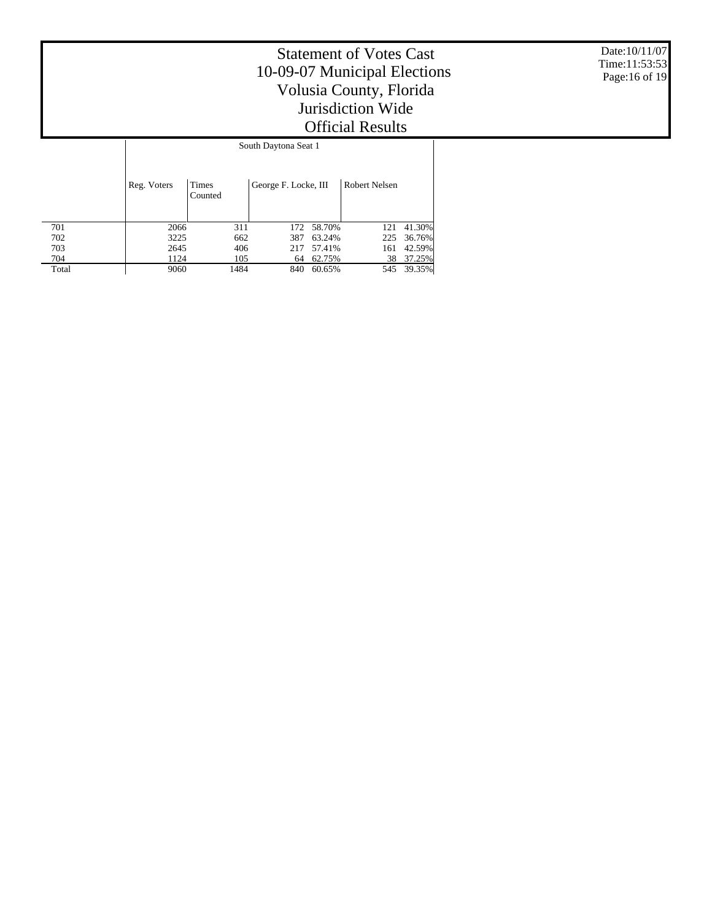Date:10/11/07 Time:11:53:53 Page:16 of 19

|       | South Daytona Seat 1 |                         |                      |        |               |        |  |  |  |  |
|-------|----------------------|-------------------------|----------------------|--------|---------------|--------|--|--|--|--|
|       | Reg. Voters          | <b>Times</b><br>Counted | George F. Locke, III |        | Robert Nelsen |        |  |  |  |  |
| 701   | 2066                 | 311                     | 172                  | 58.70% | 121           | 41.30% |  |  |  |  |
| 702   | 3225                 | 662                     | 387                  | 63.24% | 225           | 36.76% |  |  |  |  |
| 703   | 2645                 | 406                     | 217                  | 57.41% | 161           | 42.59% |  |  |  |  |
| 704   | 1124                 | 105                     | 64                   | 62.75% | 38            | 37.25% |  |  |  |  |
| Total | 9060                 | 1484                    | 840                  | 60.65% | 545           | 39.35% |  |  |  |  |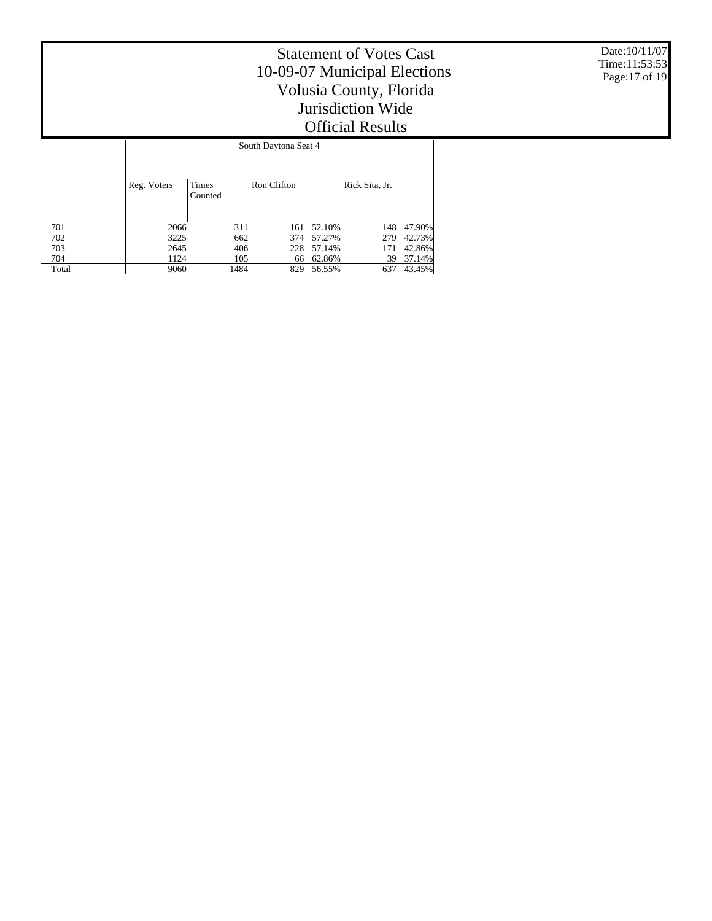Date:10/11/07 Time:11:53:53 Page:17 of 19

|       | South Daytona Seat 4 |                         |             |        |                |        |  |  |  |  |  |
|-------|----------------------|-------------------------|-------------|--------|----------------|--------|--|--|--|--|--|
|       | Reg. Voters          | <b>Times</b><br>Counted | Ron Clifton |        | Rick Sita, Jr. |        |  |  |  |  |  |
| 701   | 2066                 | 311                     | 161         | 52.10% | 148            | 47.90% |  |  |  |  |  |
| 702   | 3225                 | 662                     | 374         | 57.27% | 279            | 42.73% |  |  |  |  |  |
| 703   | 2645                 | 406                     | 228         | 57.14% | 171            | 42.86% |  |  |  |  |  |
| 704   | 1124                 | 105                     | 66          | 62.86% | 39             | 37.14% |  |  |  |  |  |
| Total | 9060                 | 1484                    | 829         | 56.55% | 637            | 43.45% |  |  |  |  |  |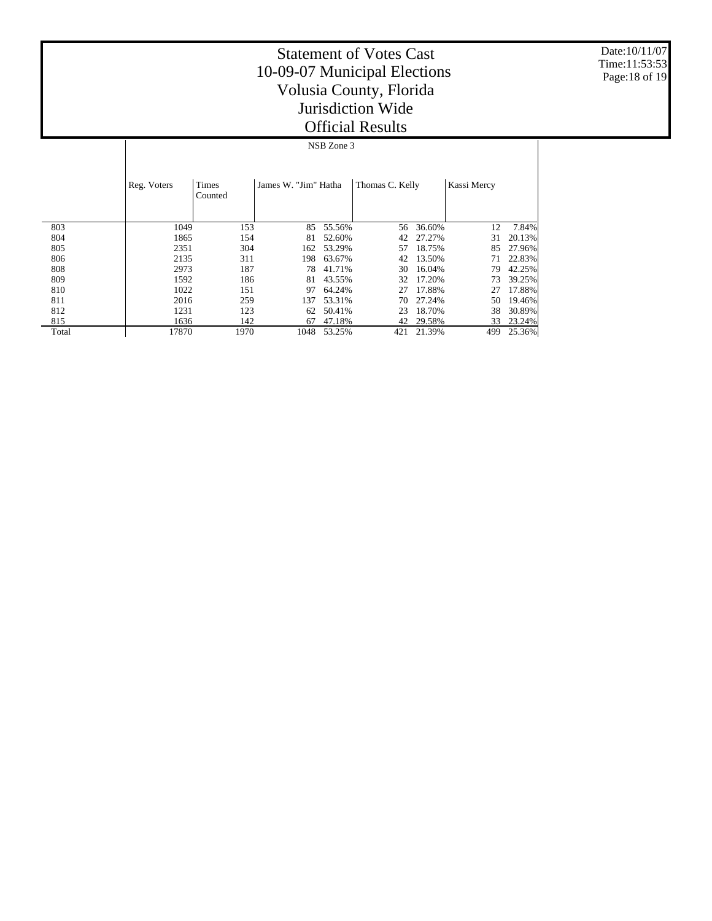Date:10/11/07 Time:11:53:53 Page:18 of 19

## Statement of Votes Cast 10-09-07 Municipal Elections Volusia County, Florida Jurisdiction Wide Official Results

NSB Zone 3

|       | Reg. Voters | Times<br>Counted | James W. "Jim" Hatha |        | Thomas C. Kelly |        | Kassi Mercy |        |
|-------|-------------|------------------|----------------------|--------|-----------------|--------|-------------|--------|
| 803   | 1049        | 153              | 85                   | 55.56% | 56              | 36.60% | 12          | 7.84%  |
| 804   | 1865        | 154              | 81                   | 52.60% | 42              | 27.27% | 31          | 20.13% |
| 805   | 2351        | 304              | 162                  | 53.29% | 57              | 18.75% | 85          | 27.96% |
| 806   | 2135        | 311              | 198                  | 63.67% | 42              | 13.50% | 71          | 22.83% |
| 808   | 2973        | 187              | 78                   | 41.71% | 30              | 16.04% | 79          | 42.25% |
| 809   | 1592        | 186              | 81                   | 43.55% | 32              | 17.20% | 73          | 39.25% |
| 810   | 1022        | 151              | 97                   | 64.24% | 27              | 17.88% | 27          | 17.88% |
| 811   | 2016        | 259              | 137                  | 53.31% | 70              | 27.24% | 50          | 19.46% |
| 812   | 1231        | 123              | 62                   | 50.41% | 23              | 18.70% | 38          | 30.89% |
| 815   | 1636        | 142              | 67                   | 47.18% | 42              | 29.58% | 33          | 23.24% |
| Total | 17870       | 1970             | 1048                 | 53.25% | 421             | 21.39% | 499         | 25.36% |